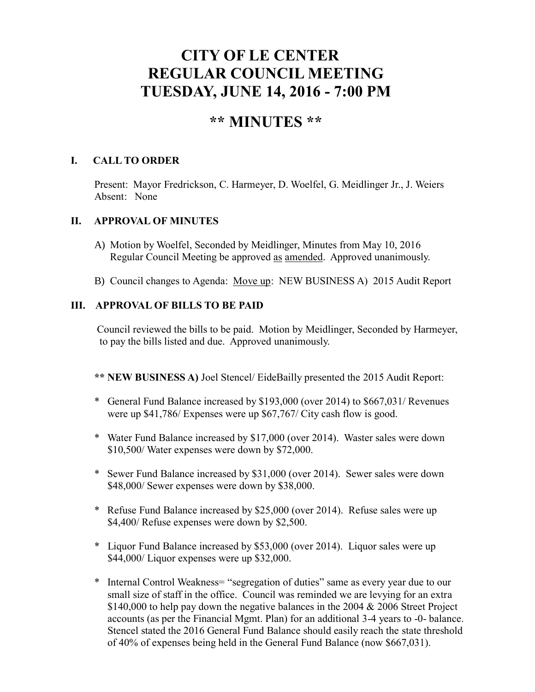# **CITY OF LE CENTER REGULAR COUNCIL MEETING TUESDAY, JUNE 14, 2016 - 7:00 PM**

## **\*\* MINUTES \*\***

#### **I. CALL TO ORDER**

Present: Mayor Fredrickson, C. Harmeyer, D. Woelfel, G. Meidlinger Jr., J. Weiers Absent: None

#### **II. APPROVAL OF MINUTES**

- A) Motion by Woelfel, Seconded by Meidlinger, Minutes from May 10, 2016 Regular Council Meeting be approved as amended. Approved unanimously.
- B) Council changes to Agenda: Move up: NEW BUSINESS A) 2015 Audit Report

#### **III. APPROVAL OF BILLS TO BE PAID**

Council reviewed the bills to be paid. Motion by Meidlinger, Seconded by Harmeyer, to pay the bills listed and due. Approved unanimously.

- **\*\* NEW BUSINESS A)** Joel Stencel/ EideBailly presented the 2015 Audit Report:
- \* General Fund Balance increased by \$193,000 (over 2014) to \$667,031/ Revenues were up \$41,786/ Expenses were up \$67,767/ City cash flow is good.
- \* Water Fund Balance increased by \$17,000 (over 2014). Waster sales were down \$10,500/ Water expenses were down by \$72,000.
- \* Sewer Fund Balance increased by \$31,000 (over 2014). Sewer sales were down \$48,000/ Sewer expenses were down by \$38,000.
- \* Refuse Fund Balance increased by \$25,000 (over 2014). Refuse sales were up \$4,400/ Refuse expenses were down by \$2,500.
- \* Liquor Fund Balance increased by \$53,000 (over 2014). Liquor sales were up \$44,000/ Liquor expenses were up \$32,000.
- \* Internal Control Weakness= "segregation of duties" same as every year due to our small size of staff in the office. Council was reminded we are levying for an extra \$140,000 to help pay down the negative balances in the 2004 & 2006 Street Project accounts (as per the Financial Mgmt. Plan) for an additional 3-4 years to -0- balance. Stencel stated the 2016 General Fund Balance should easily reach the state threshold of 40% of expenses being held in the General Fund Balance (now \$667,031).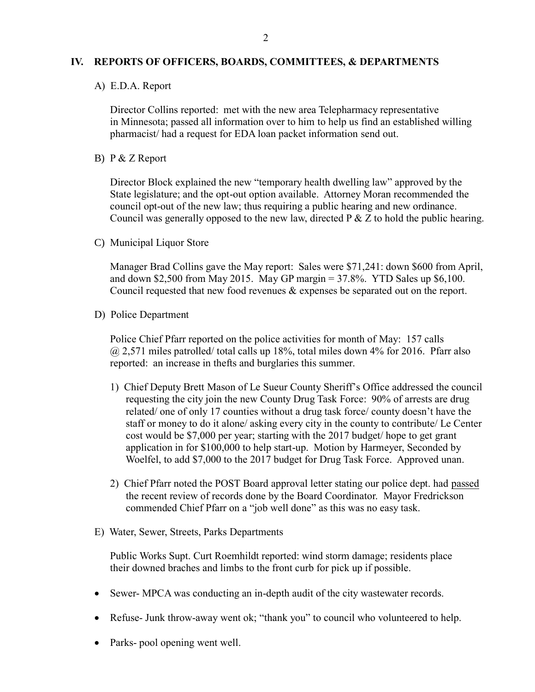#### **IV. REPORTS OF OFFICERS, BOARDS, COMMITTEES, & DEPARTMENTS**

A) E.D.A. Report

 Director Collins reported: met with the new area Telepharmacy representative in Minnesota; passed all information over to him to help us find an established willing pharmacist/ had a request for EDA loan packet information send out.

B) P & Z Report

 Director Block explained the new "temporary health dwelling law" approved by the State legislature; and the opt-out option available. Attorney Moran recommended the council opt-out of the new law; thus requiring a public hearing and new ordinance. Council was generally opposed to the new law, directed  $P \& Z$  to hold the public hearing.

C) Municipal Liquor Store

Manager Brad Collins gave the May report: Sales were \$71,241: down \$600 from April, and down \$2,500 from May 2015. May GP margin  $= 37.8\%$ . YTD Sales up \$6,100. Council requested that new food revenues & expenses be separated out on the report.

D) Police Department

Police Chief Pfarr reported on the police activities for month of May: 157 calls  $(a)$  2,571 miles patrolled/ total calls up 18%, total miles down 4% for 2016. Pfarr also reported: an increase in thefts and burglaries this summer.

- 1) Chief Deputy Brett Mason of Le Sueur County Sheriff's Office addressed the council requesting the city join the new County Drug Task Force: 90% of arrests are drug related/ one of only 17 counties without a drug task force/ county doesn't have the staff or money to do it alone/ asking every city in the county to contribute/ Le Center cost would be \$7,000 per year; starting with the 2017 budget/ hope to get grant application in for \$100,000 to help start-up. Motion by Harmeyer, Seconded by Woelfel, to add \$7,000 to the 2017 budget for Drug Task Force. Approved unan.
- 2) Chief Pfarr noted the POST Board approval letter stating our police dept. had passed the recent review of records done by the Board Coordinator. Mayor Fredrickson commended Chief Pfarr on a "job well done" as this was no easy task.
- E) Water, Sewer, Streets, Parks Departments

 Public Works Supt. Curt Roemhildt reported: wind storm damage; residents place their downed braches and limbs to the front curb for pick up if possible.

- Sewer- MPCA was conducting an in-depth audit of the city wastewater records.
- Refuse- Junk throw-away went ok; "thank you" to council who volunteered to help.
- Parks- pool opening went well.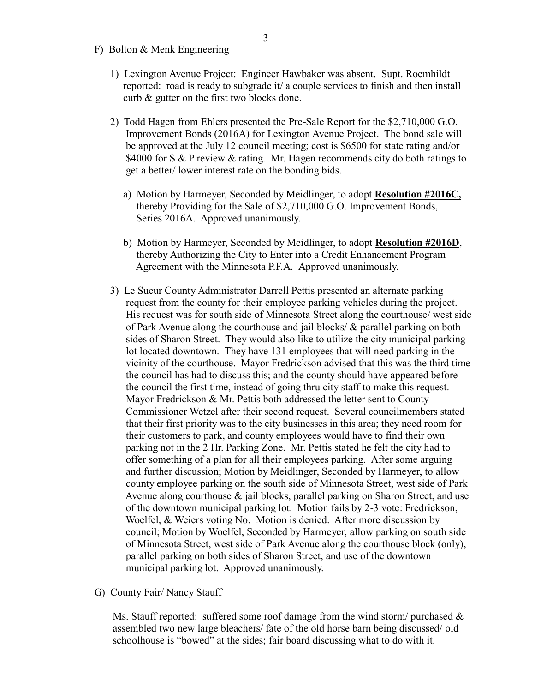- F) Bolton & Menk Engineering
	- 1) Lexington Avenue Project: Engineer Hawbaker was absent. Supt. Roemhildt reported: road is ready to subgrade it/ a couple services to finish and then install curb & gutter on the first two blocks done.
	- 2) Todd Hagen from Ehlers presented the Pre-Sale Report for the \$2,710,000 G.O. Improvement Bonds (2016A) for Lexington Avenue Project. The bond sale will be approved at the July 12 council meeting; cost is \$6500 for state rating and/or \$4000 for S & P review & rating. Mr. Hagen recommends city do both ratings to get a better/ lower interest rate on the bonding bids.
		- a) Motion by Harmeyer, Seconded by Meidlinger, to adopt **Resolution #2016C,** thereby Providing for the Sale of \$2,710,000 G.O. Improvement Bonds, Series 2016A. Approved unanimously.
		- b) Motion by Harmeyer, Seconded by Meidlinger, to adopt **Resolution #2016D**, thereby Authorizing the City to Enter into a Credit Enhancement Program Agreement with the Minnesota P.F.A. Approved unanimously.
	- 3) Le Sueur County Administrator Darrell Pettis presented an alternate parking request from the county for their employee parking vehicles during the project. His request was for south side of Minnesota Street along the courthouse/ west side of Park Avenue along the courthouse and jail blocks/ & parallel parking on both sides of Sharon Street. They would also like to utilize the city municipal parking lot located downtown. They have 131 employees that will need parking in the vicinity of the courthouse. Mayor Fredrickson advised that this was the third time the council has had to discuss this; and the county should have appeared before the council the first time, instead of going thru city staff to make this request. Mayor Fredrickson & Mr. Pettis both addressed the letter sent to County Commissioner Wetzel after their second request. Several councilmembers stated that their first priority was to the city businesses in this area; they need room for their customers to park, and county employees would have to find their own parking not in the 2 Hr. Parking Zone. Mr. Pettis stated he felt the city had to offer something of a plan for all their employees parking. After some arguing and further discussion; Motion by Meidlinger, Seconded by Harmeyer, to allow county employee parking on the south side of Minnesota Street, west side of Park Avenue along courthouse & jail blocks, parallel parking on Sharon Street, and use of the downtown municipal parking lot. Motion fails by 2-3 vote: Fredrickson, Woelfel, & Weiers voting No. Motion is denied. After more discussion by council; Motion by Woelfel, Seconded by Harmeyer, allow parking on south side of Minnesota Street, west side of Park Avenue along the courthouse block (only), parallel parking on both sides of Sharon Street, and use of the downtown municipal parking lot. Approved unanimously.
- G) County Fair/ Nancy Stauff

Ms. Stauff reported: suffered some roof damage from the wind storm/ purchased  $\&$  assembled two new large bleachers/ fate of the old horse barn being discussed/ old schoolhouse is "bowed" at the sides; fair board discussing what to do with it.